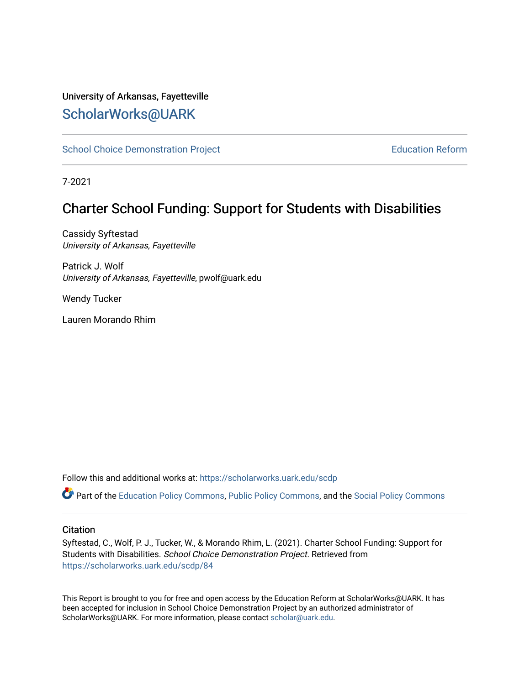## University of Arkansas, Fayetteville [ScholarWorks@UARK](https://scholarworks.uark.edu/)

[School Choice Demonstration Project](https://scholarworks.uark.edu/scdp) **Education Reform** Education Reform

7-2021

# Charter School Funding: Support for Students with Disabilities

Cassidy Syftestad University of Arkansas, Fayetteville

Patrick J. Wolf University of Arkansas, Fayetteville, pwolf@uark.edu

Wendy Tucker

Lauren Morando Rhim

Follow this and additional works at: [https://scholarworks.uark.edu/scdp](https://scholarworks.uark.edu/scdp?utm_source=scholarworks.uark.edu%2Fscdp%2F84&utm_medium=PDF&utm_campaign=PDFCoverPages) 

Part of the [Education Policy Commons](http://network.bepress.com/hgg/discipline/1026?utm_source=scholarworks.uark.edu%2Fscdp%2F84&utm_medium=PDF&utm_campaign=PDFCoverPages), [Public Policy Commons](http://network.bepress.com/hgg/discipline/400?utm_source=scholarworks.uark.edu%2Fscdp%2F84&utm_medium=PDF&utm_campaign=PDFCoverPages), and the [Social Policy Commons](http://network.bepress.com/hgg/discipline/1030?utm_source=scholarworks.uark.edu%2Fscdp%2F84&utm_medium=PDF&utm_campaign=PDFCoverPages)

#### **Citation**

Syftestad, C., Wolf, P. J., Tucker, W., & Morando Rhim, L. (2021). Charter School Funding: Support for Students with Disabilities. School Choice Demonstration Project. Retrieved from [https://scholarworks.uark.edu/scdp/84](https://scholarworks.uark.edu/scdp/84?utm_source=scholarworks.uark.edu%2Fscdp%2F84&utm_medium=PDF&utm_campaign=PDFCoverPages)

This Report is brought to you for free and open access by the Education Reform at ScholarWorks@UARK. It has been accepted for inclusion in School Choice Demonstration Project by an authorized administrator of ScholarWorks@UARK. For more information, please contact [scholar@uark.edu](mailto:scholar@uark.edu).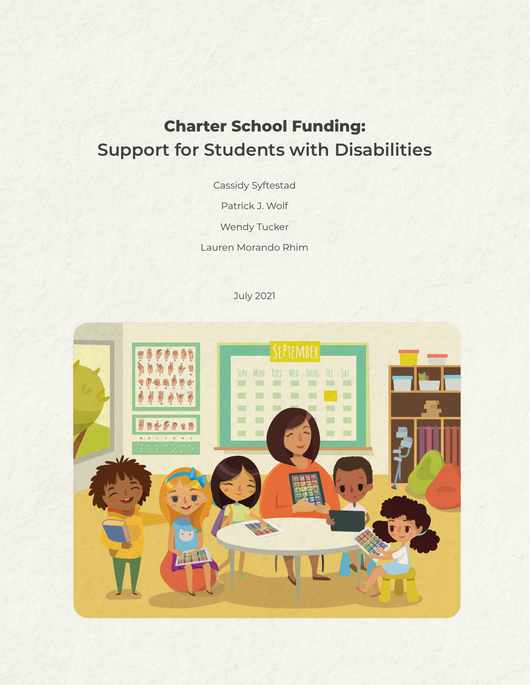# **Charter School Funding: Support for Students with Disabilities**

Cassidy Syftestad

Patrick J. Wolf

Wendy Tucker

Lauren Morando Rhim

July 2021

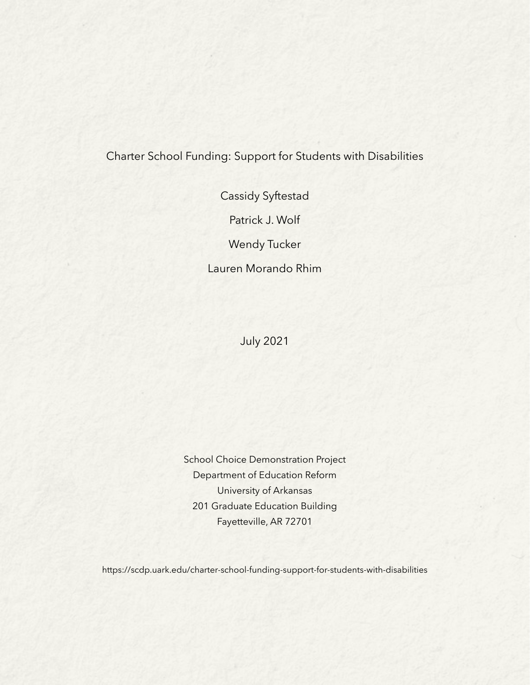## Charter School Funding: Support for Students with Disabilities

Cassidy Syftestad

Patrick J. Wolf

Wendy Tucker

Lauren Morando Rhim

July 2021

School Choice Demonstration Project Department of Education Reform University of Arkansas 201 Graduate Education Building Fayetteville, AR 72701

https://scdp.uark.edu/charter-school-funding-support-for-students-with-disabilities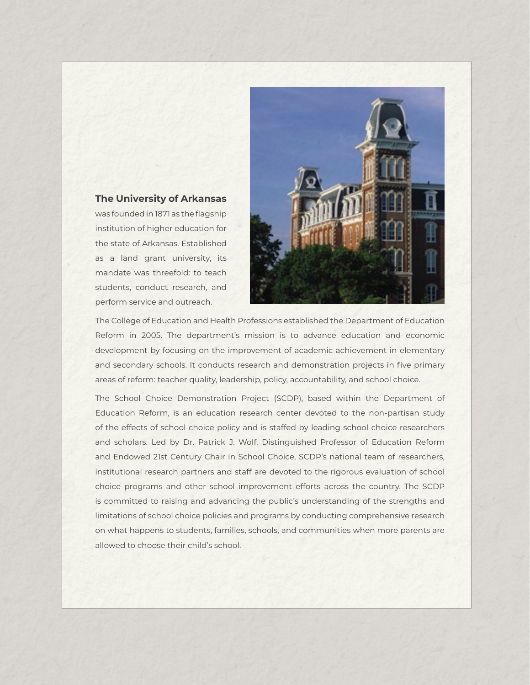#### **The University of Arkansas**

was founded in 1871 as the flagship institution of higher education for the state of Arkansas. Established as a land grant university, its mandate was threefold: to teach students, conduct research, and perform service and outreach.



The College of Education and Health Professions established the Department of Education Reform in 2005. The department's mission is to advance education and economic development by focusing on the improvement of academic achievement in elementary and secondary schools. It conducts research and demonstration projects in five primary areas of reform: teacher quality, leadership, policy, accountability, and school choice.

The School Choice Demonstration Project (SCDP), based within the Department of Education Reform, is an education research center devoted to the non-partisan study of the effects of school choice policy and is staffed by leading school choice researchers and scholars. Led by Dr. Patrick J. Wolf, Distinguished Professor of Education Reform and Endowed 21st Century Chair in School Choice, SCDP's national team of researchers, institutional research partners and staff are devoted to the rigorous evaluation of school choice programs and other school improvement efforts across the country. The SCDP is committed to raising and advancing the public's understanding of the strengths and limitations of school choice policies and programs by conducting comprehensive research on what happens to students, families, schools, and communities when more parents are allowed to choose their child's school.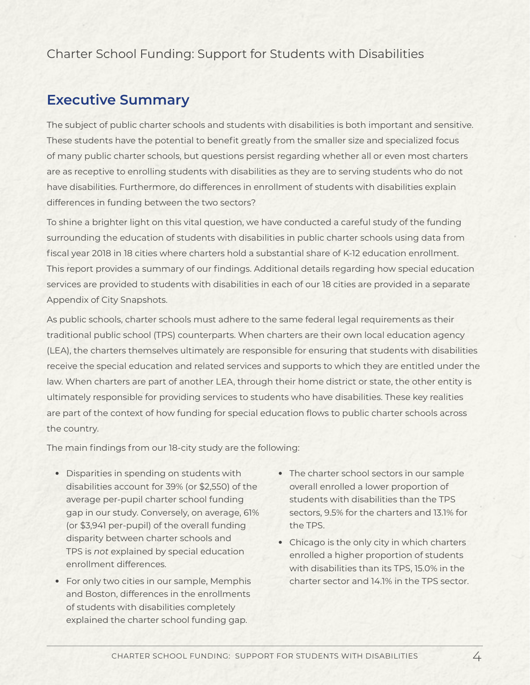## Charter School Funding: Support for Students with Disabilities

## **Executive Summary**

The subject of public charter schools and students with disabilities is both important and sensitive. These students have the potential to benefit greatly from the smaller size and specialized focus of many public charter schools, but questions persist regarding whether all or even most charters are as receptive to enrolling students with disabilities as they are to serving students who do not have disabilities. Furthermore, do differences in enrollment of students with disabilities explain differences in funding between the two sectors?

To shine a brighter light on this vital question, we have conducted a careful study of the funding surrounding the education of students with disabilities in public charter schools using data from fiscal year 2018 in 18 cities where charters hold a substantial share of K-12 education enrollment. This report provides a summary of our findings. Additional details regarding how special education services are provided to students with disabilities in each of our 18 cities are provided in a separate Appendix of City Snapshots.

As public schools, charter schools must adhere to the same federal legal requirements as their traditional public school (TPS) counterparts. When charters are their own local education agency (LEA), the charters themselves ultimately are responsible for ensuring that students with disabilities receive the special education and related services and supports to which they are entitled under the law. When charters are part of another LEA, through their home district or state, the other entity is ultimately responsible for providing services to students who have disabilities. These key realities are part of the context of how funding for special education flows to public charter schools across the country.

The main findings from our 18-city study are the following:

- Disparities in spending on students with disabilities account for 39% (or \$2,550) of the average per-pupil charter school funding gap in our study. Conversely, on average, 61% (or \$3,941 per-pupil) of the overall funding disparity between charter schools and TPS is *not* explained by special education enrollment differences.
- For only two cities in our sample, Memphis and Boston, differences in the enrollments of students with disabilities completely explained the charter school funding gap.
- The charter school sectors in our sample overall enrolled a lower proportion of students with disabilities than the TPS sectors, 9.5% for the charters and 13.1% for the TPS.
- Chicago is the only city in which charters enrolled a higher proportion of students with disabilities than its TPS, 15.0% in the charter sector and 14.1% in the TPS sector.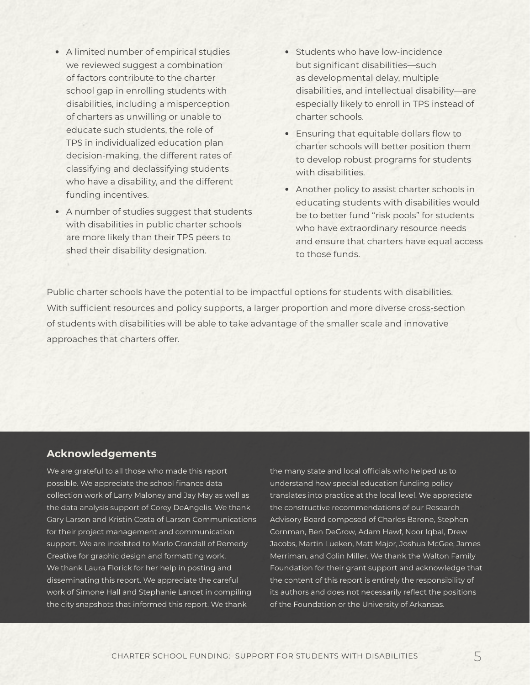- A limited number of empirical studies we reviewed suggest a combination of factors contribute to the charter school gap in enrolling students with disabilities, including a misperception of charters as unwilling or unable to educate such students, the role of TPS in individualized education plan decision-making, the different rates of classifying and declassifying students who have a disability, and the different funding incentives.
- A number of studies suggest that students with disabilities in public charter schools are more likely than their TPS peers to shed their disability designation.
- Students who have low-incidence but significant disabilities—such as developmental delay, multiple disabilities, and intellectual disability—are especially likely to enroll in TPS instead of charter schools.
- Ensuring that equitable dollars flow to charter schools will better position them to develop robust programs for students with disabilities.
- Another policy to assist charter schools in educating students with disabilities would be to better fund "risk pools" for students who have extraordinary resource needs and ensure that charters have equal access to those funds.

Public charter schools have the potential to be impactful options for students with disabilities. With sufficient resources and policy supports, a larger proportion and more diverse cross-section of students with disabilities will be able to take advantage of the smaller scale and innovative approaches that charters offer.

#### **Acknowledgements**

We are grateful to all those who made this report possible. We appreciate the school finance data collection work of Larry Maloney and Jay May as well as the data analysis support of Corey DeAngelis. We thank Gary Larson and Kristin Costa of Larson Communications for their project management and communication support. We are indebted to Marlo Crandall of Remedy Creative for graphic design and formatting work. We thank Laura Florick for her help in posting and disseminating this report. We appreciate the careful work of Simone Hall and Stephanie Lancet in compiling the city snapshots that informed this report. We thank

the many state and local officials who helped us to understand how special education funding policy translates into practice at the local level. We appreciate the constructive recommendations of our Research Advisory Board composed of Charles Barone, Stephen Cornman, Ben DeGrow, Adam Hawf, Noor Iqbal, Drew Jacobs, Martin Lueken, Matt Major, Joshua McGee, James Merriman, and Colin Miller. We thank the Walton Family Foundation for their grant support and acknowledge that the content of this report is entirely the responsibility of its authors and does not necessarily reflect the positions of the Foundation or the University of Arkansas.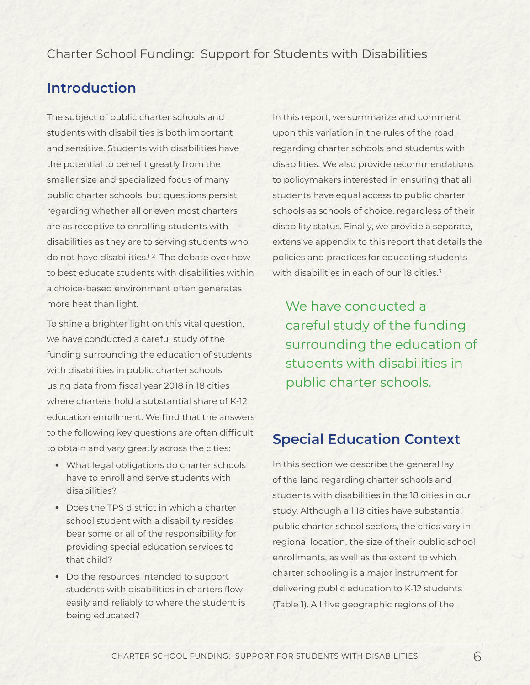## Charter School Funding: Support for Students with Disabilities

# **Introduction**

The subject of public charter schools and students with disabilities is both important and sensitive. Students with disabilities have the potential to benefit greatly from the smaller size and specialized focus of many public charter schools, but questions persist regarding whether all or even most charters are as receptive to enrolling students with disabilities as they are to serving students who do not have disabilities.<sup>12</sup> The debate over how to best educate students with disabilities within a choice-based environment often generates more heat than light.

To shine a brighter light on this vital question, we have conducted a careful study of the funding surrounding the education of students with disabilities in public charter schools using data from fiscal year 2018 in 18 cities where charters hold a substantial share of K-12 education enrollment. We find that the answers to the following key questions are often difficult to obtain and vary greatly across the cities:

- What legal obligations do charter schools have to enroll and serve students with disabilities?
- Does the TPS district in which a charter school student with a disability resides bear some or all of the responsibility for providing special education services to that child?
- Do the resources intended to support students with disabilities in charters flow easily and reliably to where the student is being educated?

In this report, we summarize and comment upon this variation in the rules of the road regarding charter schools and students with disabilities. We also provide recommendations to policymakers interested in ensuring that all students have equal access to public charter schools as schools of choice, regardless of their disability status. Finally, we provide a separate, extensive appendix to this report that details the policies and practices for educating students with disabilities in each of our 18 cities.<sup>3</sup>

We have conducted a careful study of the funding surrounding the education of students with disabilities in public charter schools.

# **Special Education Context**

In this section we describe the general lay of the land regarding charter schools and students with disabilities in the 18 cities in our study. Although all 18 cities have substantial public charter school sectors, the cities vary in regional location, the size of their public school enrollments, as well as the extent to which charter schooling is a major instrument for delivering public education to K-12 students (Table 1). All five geographic regions of the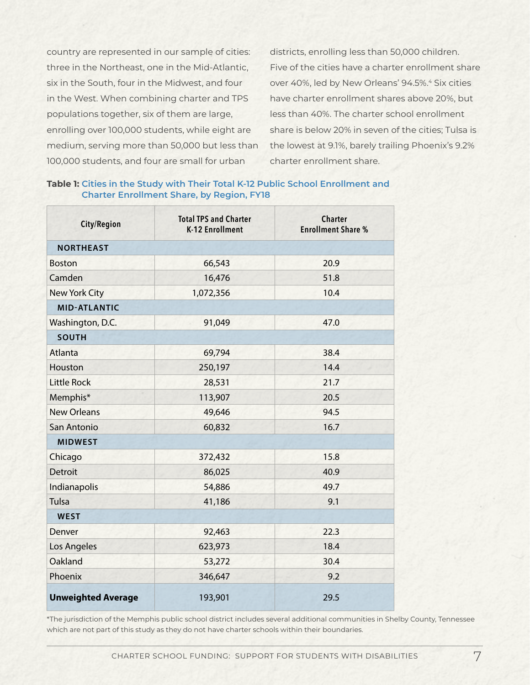country are represented in our sample of cities: three in the Northeast, one in the Mid-Atlantic, six in the South, four in the Midwest, and four in the West. When combining charter and TPS populations together, six of them are large, enrolling over 100,000 students, while eight are medium, serving more than 50,000 but less than 100,000 students, and four are small for urban

districts, enrolling less than 50,000 children. Five of the cities have a charter enrollment share over 40%, led by New Orleans' 94.5%.<sup>4</sup> Six cities have charter enrollment shares above 20%, but less than 40%. The charter school enrollment share is below 20% in seven of the cities; Tulsa is the lowest at 9.1%, barely trailing Phoenix's 9.2% charter enrollment share.

#### **Table 1: Cities in the Study with Their Total K-12 Public School Enrollment and Charter Enrollment Share, by Region, FY18**

| City/Region               | <b>Total TPS and Charter</b><br><b>K-12 Enrollment</b> | <b>Charter</b><br><b>Enrollment Share %</b> |  |  |  |  |  |  |
|---------------------------|--------------------------------------------------------|---------------------------------------------|--|--|--|--|--|--|
| <b>NORTHEAST</b>          |                                                        |                                             |  |  |  |  |  |  |
| <b>Boston</b>             | 66,543                                                 | 20.9                                        |  |  |  |  |  |  |
| Camden                    | 16,476                                                 | 51.8                                        |  |  |  |  |  |  |
| <b>New York City</b>      | 1,072,356                                              | 10.4                                        |  |  |  |  |  |  |
| <b>MID-ATLANTIC</b>       |                                                        |                                             |  |  |  |  |  |  |
| Washington, D.C.          | 91,049                                                 | 47.0                                        |  |  |  |  |  |  |
| <b>SOUTH</b>              |                                                        |                                             |  |  |  |  |  |  |
| Atlanta                   | 69,794                                                 | 38.4                                        |  |  |  |  |  |  |
| Houston                   | 250,197                                                | 14.4                                        |  |  |  |  |  |  |
| <b>Little Rock</b>        | 28,531                                                 | 21.7                                        |  |  |  |  |  |  |
| Memphis*                  | 113,907                                                | 20.5                                        |  |  |  |  |  |  |
| <b>New Orleans</b>        | 49,646                                                 | 94.5                                        |  |  |  |  |  |  |
| San Antonio               | 60,832                                                 | 16.7                                        |  |  |  |  |  |  |
| <b>MIDWEST</b>            |                                                        |                                             |  |  |  |  |  |  |
| Chicago                   | 372,432                                                | 15.8                                        |  |  |  |  |  |  |
| <b>Detroit</b>            | 86,025                                                 | 40.9                                        |  |  |  |  |  |  |
| Indianapolis              | 54,886                                                 | 49.7                                        |  |  |  |  |  |  |
| <b>Tulsa</b>              | 41,186                                                 | 9.1                                         |  |  |  |  |  |  |
| <b>WEST</b>               |                                                        |                                             |  |  |  |  |  |  |
| Denver                    | 92,463                                                 | 22.3                                        |  |  |  |  |  |  |
| Los Angeles               | 623,973                                                | 18.4                                        |  |  |  |  |  |  |
| Oakland                   | 53,272                                                 | 30.4                                        |  |  |  |  |  |  |
| Phoenix                   | 346,647                                                | 9.2                                         |  |  |  |  |  |  |
| <b>Unweighted Average</b> | 193,901                                                | 29.5                                        |  |  |  |  |  |  |

\*The jurisdiction of the Memphis public school district includes several additional communities in Shelby County, Tennessee which are not part of this study as they do not have charter schools within their boundaries.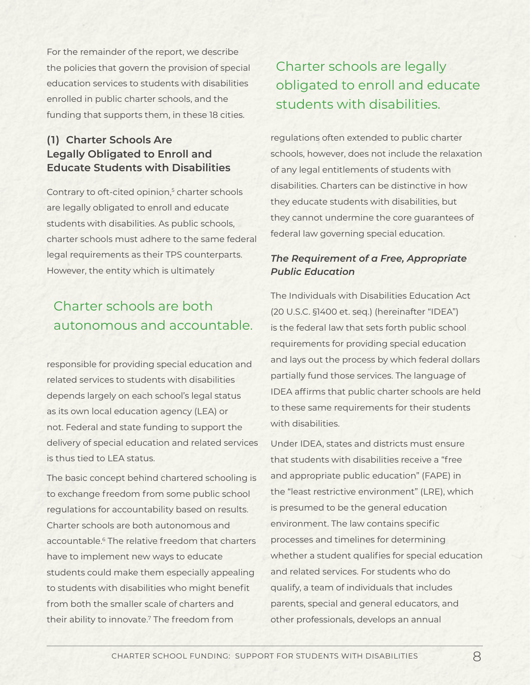For the remainder of the report, we describe the policies that govern the provision of special education services to students with disabilities enrolled in public charter schools, and the funding that supports them, in these 18 cities.

## **(1) Charter Schools Are Legally Obligated to Enroll and Educate Students with Disabilities**

Contrary to oft-cited opinion,<sup>5</sup> charter schools are legally obligated to enroll and educate students with disabilities. As public schools, charter schools must adhere to the same federal legal requirements as their TPS counterparts. However, the entity which is ultimately

# Charter schools are both autonomous and accountable.

responsible for providing special education and related services to students with disabilities depends largely on each school's legal status as its own local education agency (LEA) or not. Federal and state funding to support the delivery of special education and related services is thus tied to LEA status.

The basic concept behind chartered schooling is to exchange freedom from some public school regulations for accountability based on results. Charter schools are both autonomous and accountable.<sup>6</sup> The relative freedom that charters have to implement new ways to educate students could make them especially appealing to students with disabilities who might benefit from both the smaller scale of charters and their ability to innovate.7 The freedom from

# Charter schools are legally obligated to enroll and educate students with disabilities.

regulations often extended to public charter schools, however, does not include the relaxation of any legal entitlements of students with disabilities. Charters can be distinctive in how they educate students with disabilities, but they cannot undermine the core guarantees of federal law governing special education.

### *The Requirement of a Free, Appropriate Public Education*

The Individuals with Disabilities Education Act (20 U.S.C. §1400 et. seq.) (hereinafter "IDEA") is the federal law that sets forth public school requirements for providing special education and lays out the process by which federal dollars partially fund those services. The language of IDEA affirms that public charter schools are held to these same requirements for their students with disabilities.

Under IDEA, states and districts must ensure that students with disabilities receive a "free and appropriate public education" (FAPE) in the "least restrictive environment" (LRE), which is presumed to be the general education environment. The law contains specific processes and timelines for determining whether a student qualifies for special education and related services. For students who do qualify, a team of individuals that includes parents, special and general educators, and other professionals, develops an annual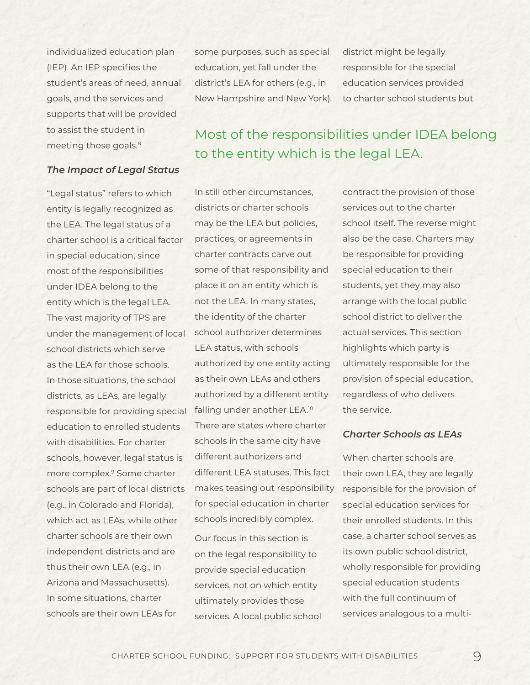individualized education plan (IEP). An IEP specifies the student's areas of need, annual goals, and the services and supports that will be provided to assist the student in meeting those goals.<sup>8</sup>

some purposes, such as special education, yet fall under the district's LEA for others (e.g., in New Hampshire and New York). district might be legally responsible for the special education services provided to charter school students but

#### *The Impact of Legal Status*

"Legal status" refers to which entity is legally recognized as the LEA. The legal status of a charter school is a critical factor in special education, since most of the responsibilities under IDEA belong to the entity which is the legal LEA. The vast majority of TPS are under the management of local school districts which serve as the LEA for those schools. In those situations, the school districts, as LEAs, are legally responsible for providing special falling under another LEA.<sup>10</sup> education to enrolled students with disabilities. For charter schools, however, legal status is more complex.9 Some charter schools are part of local districts (e.g., in Colorado and Florida), which act as LEAs, while other charter schools are their own independent districts and are thus their own LEA (e.g., in Arizona and Massachusetts). In some situations, charter schools are their own LEAs for

# Most of the responsibilities under IDEA belong to the entity which is the legal LEA.

In still other circumstances, districts or charter schools may be the LEA but policies, practices, or agreements in charter contracts carve out some of that responsibility and place it on an entity which is not the LEA. In many states, the identity of the charter school authorizer determines LEA status, with schools authorized by one entity acting as their own LEAs and others authorized by a different entity There are states where charter schools in the same city have different authorizers and different LEA statuses. This fact makes teasing out responsibility for special education in charter schools incredibly complex.

Our focus in this section is on the legal responsibility to provide special education services, not on which entity ultimately provides those services. A local public school contract the provision of those services out to the charter school itself. The reverse might also be the case. Charters may be responsible for providing special education to their students, yet they may also arrange with the local public school district to deliver the actual services. This section highlights which party is ultimately responsible for the provision of special education, regardless of who delivers the service.

#### *Charter Schools as LEAs*

When charter schools are their own LEA, they are legally responsible for the provision of special education services for their enrolled students. In this case, a charter school serves as its own public school district, wholly responsible for providing special education students with the full continuum of services analogous to a multi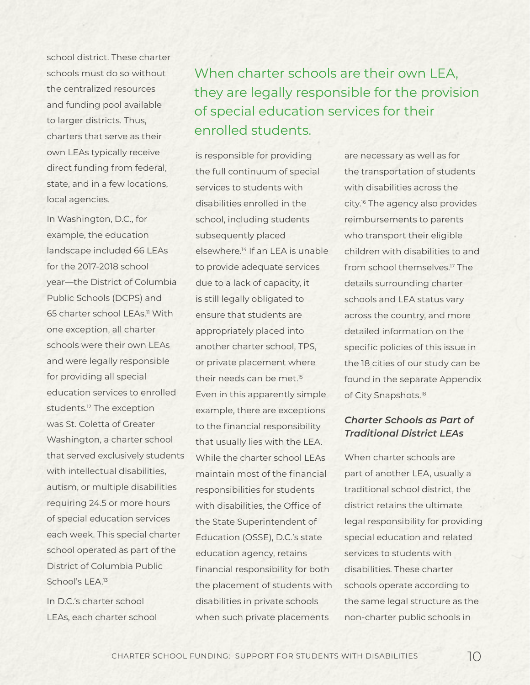school district. These charter schools must do so without the centralized resources and funding pool available to larger districts. Thus, charters that serve as their own LEAs typically receive direct funding from federal, state, and in a few locations, local agencies.

In Washington, D.C., for example, the education landscape included 66 LEAs for the 2017-2018 school year—the District of Columbia Public Schools (DCPS) and 65 charter school LEAs<sup>11</sup> With one exception, all charter schools were their own LEAs and were legally responsible for providing all special education services to enrolled students.<sup>12</sup> The exception was St. Coletta of Greater Washington, a charter school that served exclusively students with intellectual disabilities. autism, or multiple disabilities requiring 24.5 or more hours of special education services each week. This special charter school operated as part of the District of Columbia Public School's LEA.<sup>13</sup>

In D.C.'s charter school LEAs, each charter school When charter schools are their own LEA, they are legally responsible for the provision of special education services for their enrolled students.

is responsible for providing the full continuum of special services to students with disabilities enrolled in the school, including students subsequently placed elsewhere.14 If an LEA is unable to provide adequate services due to a lack of capacity, it is still legally obligated to ensure that students are appropriately placed into another charter school, TPS, or private placement where their needs can be met.<sup>15</sup> Even in this apparently simple example, there are exceptions to the financial responsibility that usually lies with the LEA. While the charter school LEAs maintain most of the financial responsibilities for students with disabilities, the Office of the State Superintendent of Education (OSSE), D.C.'s state education agency, retains financial responsibility for both the placement of students with disabilities in private schools when such private placements

are necessary as well as for the transportation of students with disabilities across the city.16 The agency also provides reimbursements to parents who transport their eligible children with disabilities to and from school themselves.<sup>17</sup> The details surrounding charter schools and LEA status vary across the country, and more detailed information on the specific policies of this issue in the 18 cities of our study can be found in the separate Appendix of City Snapshots.<sup>18</sup>

### *Charter Schools as Part of Traditional District LEAs*

When charter schools are part of another LEA, usually a traditional school district, the district retains the ultimate legal responsibility for providing special education and related services to students with disabilities. These charter schools operate according to the same legal structure as the non-charter public schools in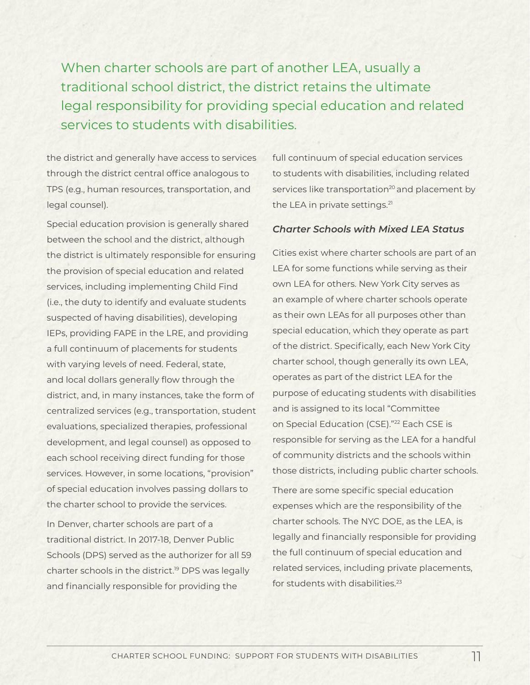When charter schools are part of another LEA, usually a traditional school district, the district retains the ultimate legal responsibility for providing special education and related services to students with disabilities.

the district and generally have access to services through the district central office analogous to TPS (e.g., human resources, transportation, and legal counsel).

Special education provision is generally shared between the school and the district, although the district is ultimately responsible for ensuring the provision of special education and related services, including implementing Child Find (i.e., the duty to identify and evaluate students suspected of having disabilities), developing IEPs, providing FAPE in the LRE, and providing a full continuum of placements for students with varying levels of need. Federal, state, and local dollars generally flow through the district, and, in many instances, take the form of centralized services (e.g., transportation, student evaluations, specialized therapies, professional development, and legal counsel) as opposed to each school receiving direct funding for those services. However, in some locations, "provision" of special education involves passing dollars to the charter school to provide the services.

In Denver, charter schools are part of a traditional district. In 2017-18, Denver Public Schools (DPS) served as the authorizer for all 59 charter schools in the district.<sup>19</sup> DPS was legally and financially responsible for providing the

full continuum of special education services to students with disabilities, including related services like transportation<sup>20</sup> and placement by the LEA in private settings.<sup>21</sup>

#### *Charter Schools with Mixed LEA Status*

Cities exist where charter schools are part of an LEA for some functions while serving as their own LEA for others. New York City serves as an example of where charter schools operate as their own LEAs for all purposes other than special education, which they operate as part of the district. Specifically, each New York City charter school, though generally its own LEA, operates as part of the district LEA for the purpose of educating students with disabilities and is assigned to its local "Committee on Special Education (CSE)."<sup>22</sup> Each CSE is responsible for serving as the LEA for a handful of community districts and the schools within those districts, including public charter schools.

There are some specific special education expenses which are the responsibility of the charter schools. The NYC DOE, as the LEA, is legally and financially responsible for providing the full continuum of special education and related services, including private placements, for students with disabilities<sup>23</sup>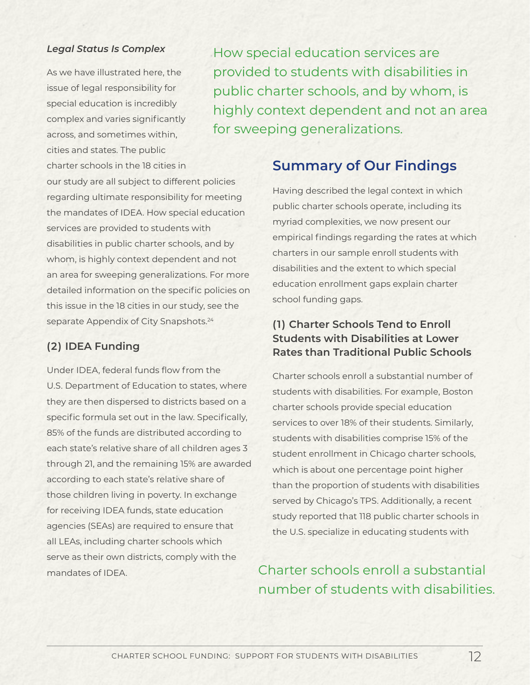### *Legal Status Is Complex*

As we have illustrated here, the issue of legal responsibility for special education is incredibly complex and varies significantly across, and sometimes within, cities and states. The public charter schools in the 18 cities in

How special education services are provided to students with disabilities in public charter schools, and by whom, is highly context dependent and not an area for sweeping generalizations.

our study are all subject to different policies regarding ultimate responsibility for meeting the mandates of IDEA. How special education services are provided to students with disabilities in public charter schools, and by whom, is highly context dependent and not an area for sweeping generalizations. For more detailed information on the specific policies on this issue in the 18 cities in our study, see the separate Appendix of City Snapshots.<sup>24</sup>

## **(2) IDEA Funding**

Under IDEA, federal funds flow from the U.S. Department of Education to states, where they are then dispersed to districts based on a specific formula set out in the law. Specifically, 85% of the funds are distributed according to each state's relative share of all children ages 3 through 21, and the remaining 15% are awarded according to each state's relative share of those children living in poverty. In exchange for receiving IDEA funds, state education agencies (SEAs) are required to ensure that all LEAs, including charter schools which serve as their own districts, comply with the mandates of IDEA.

# **Summary of Our Findings**

Having described the legal context in which public charter schools operate, including its myriad complexities, we now present our empirical findings regarding the rates at which charters in our sample enroll students with disabilities and the extent to which special education enrollment gaps explain charter school funding gaps.

## **(1) Charter Schools Tend to Enroll Students with Disabilities at Lower Rates than Traditional Public Schools**

Charter schools enroll a substantial number of students with disabilities. For example, Boston charter schools provide special education services to over 18% of their students. Similarly, students with disabilities comprise 15% of the student enrollment in Chicago charter schools, which is about one percentage point higher than the proportion of students with disabilities served by Chicago's TPS. Additionally, a recent study reported that 118 public charter schools in the U.S. specialize in educating students with

Charter schools enroll a substantial number of students with disabilities.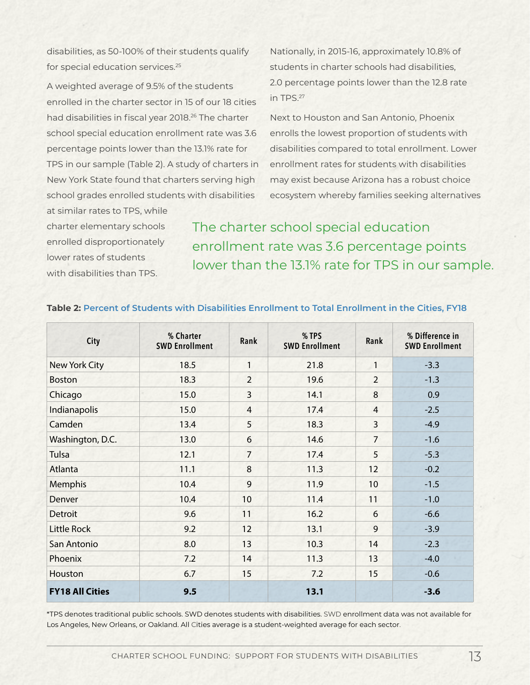disabilities, as 50-100% of their students qualify for special education services.<sup>25</sup>

A weighted average of 9.5% of the students enrolled in the charter sector in 15 of our 18 cities had disabilities in fiscal year 2018.<sup>26</sup> The charter school special education enrollment rate was 3.6 percentage points lower than the 13.1% rate for TPS in our sample (Table 2). A study of charters in New York State found that charters serving high school grades enrolled students with disabilities

at similar rates to TPS, while charter elementary schools enrolled disproportionately lower rates of students with disabilities than TPS.

Nationally, in 2015-16, approximately 10.8% of students in charter schools had disabilities, 2.0 percentage points lower than the 12.8 rate in TPS.27

Next to Houston and San Antonio, Phoenix enrolls the lowest proportion of students with disabilities compared to total enrollment. Lower enrollment rates for students with disabilities may exist because Arizona has a robust choice ecosystem whereby families seeking alternatives

The charter school special education enrollment rate was 3.6 percentage points lower than the 13.1% rate for TPS in our sample.

| City                   | % Charter<br><b>SWD Enrollment</b> | Rank           | % TPS<br><b>SWD Enrollment</b> | Rank           | % Difference in<br><b>SWD Enrollment</b> |
|------------------------|------------------------------------|----------------|--------------------------------|----------------|------------------------------------------|
| New York City          | 18.5                               | $\mathbf{1}$   | 21.8                           | $\mathbf{1}$   | $-3.3$                                   |
| <b>Boston</b>          | 18.3                               | $\overline{2}$ | 19.6                           | $\overline{2}$ | $-1.3$                                   |
| Chicago                | 15.0                               | 3              | 14.1                           | 8              | 0.9                                      |
| Indianapolis           | 15.0                               | $\overline{4}$ | 17.4                           | $\overline{4}$ | $-2.5$                                   |
| Camden                 | 13.4                               | 5              | 18.3                           | 3              | $-4.9$                                   |
| Washington, D.C.       | 13.0                               | 6              | 14.6                           | $\overline{7}$ | $-1.6$                                   |
| <b>Tulsa</b>           | 12.1                               | $\overline{7}$ | 17.4                           | 5              | $-5.3$                                   |
| Atlanta                | 11.1                               | 8              | 11.3                           | 12             | $-0.2$                                   |
| Memphis                | 10.4                               | 9              | 11.9                           | 10             | $-1.5$                                   |
| Denver                 | 10.4                               | 10             | 11.4                           | 11             | $-1.0$                                   |
| <b>Detroit</b>         | 9.6                                | 11             | 16.2                           | 6              | $-6.6$                                   |
| <b>Little Rock</b>     | 9.2                                | 12             | 13.1                           | 9              | $-3.9$                                   |
| San Antonio            | 8.0                                | 13             | 10.3                           | 14             | $-2.3$                                   |
| Phoenix                | 7.2                                | 14             | 11.3                           | 13             | $-4.0$                                   |
| Houston                | 6.7                                | 15             | 7.2                            | 15             | $-0.6$                                   |
| <b>FY18 All Cities</b> | 9.5                                |                | 13.1                           |                | $-3.6$                                   |

#### **Table 2: Percent of Students with Disabilities Enrollment to Total Enrollment in the Cities, FY18**

\*TPS denotes traditional public schools. SWD denotes students with disabilities. SWD enrollment data was not available for Los Angeles, New Orleans, or Oakland. All Cities average is a student-weighted average for each sector.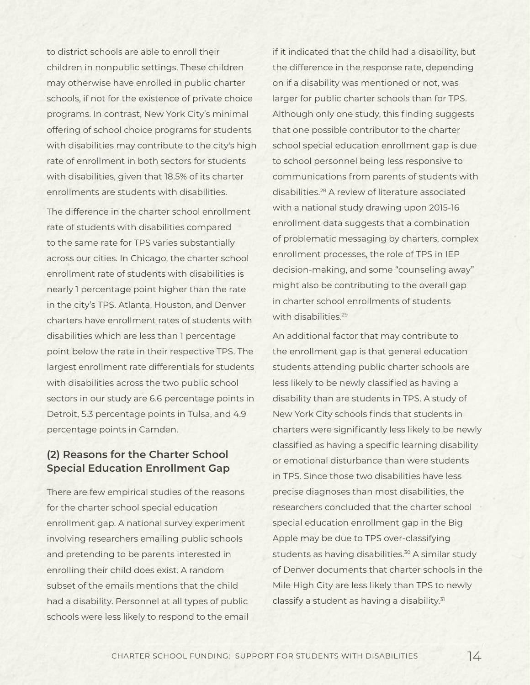to district schools are able to enroll their children in nonpublic settings. These children may otherwise have enrolled in public charter schools, if not for the existence of private choice programs. In contrast, New York City's minimal offering of school choice programs for students with disabilities may contribute to the city's high rate of enrollment in both sectors for students with disabilities, given that 18.5% of its charter enrollments are students with disabilities.

The difference in the charter school enrollment rate of students with disabilities compared to the same rate for TPS varies substantially across our cities. In Chicago, the charter school enrollment rate of students with disabilities is nearly 1 percentage point higher than the rate in the city's TPS. Atlanta, Houston, and Denver charters have enrollment rates of students with disabilities which are less than 1 percentage point below the rate in their respective TPS. The largest enrollment rate differentials for students with disabilities across the two public school sectors in our study are 6.6 percentage points in Detroit, 5.3 percentage points in Tulsa, and 4.9 percentage points in Camden.

## **(2) Reasons for the Charter School Special Education Enrollment Gap**

There are few empirical studies of the reasons for the charter school special education enrollment gap. A national survey experiment involving researchers emailing public schools and pretending to be parents interested in enrolling their child does exist. A random subset of the emails mentions that the child had a disability. Personnel at all types of public schools were less likely to respond to the email if it indicated that the child had a disability, but the difference in the response rate, depending on if a disability was mentioned or not, was larger for public charter schools than for TPS. Although only one study, this finding suggests that one possible contributor to the charter school special education enrollment gap is due to school personnel being less responsive to communications from parents of students with disabilities.28 A review of literature associated with a national study drawing upon 2015-16 enrollment data suggests that a combination of problematic messaging by charters, complex enrollment processes, the role of TPS in IEP decision-making, and some "counseling away" might also be contributing to the overall gap in charter school enrollments of students with disabilities.<sup>29</sup>

An additional factor that may contribute to the enrollment gap is that general education students attending public charter schools are less likely to be newly classified as having a disability than are students in TPS. A study of New York City schools finds that students in charters were significantly less likely to be newly classified as having a specific learning disability or emotional disturbance than were students in TPS. Since those two disabilities have less precise diagnoses than most disabilities, the researchers concluded that the charter school special education enrollment gap in the Big Apple may be due to TPS over-classifying students as having disabilities.<sup>30</sup> A similar study of Denver documents that charter schools in the Mile High City are less likely than TPS to newly classify a student as having a disability.<sup>31</sup>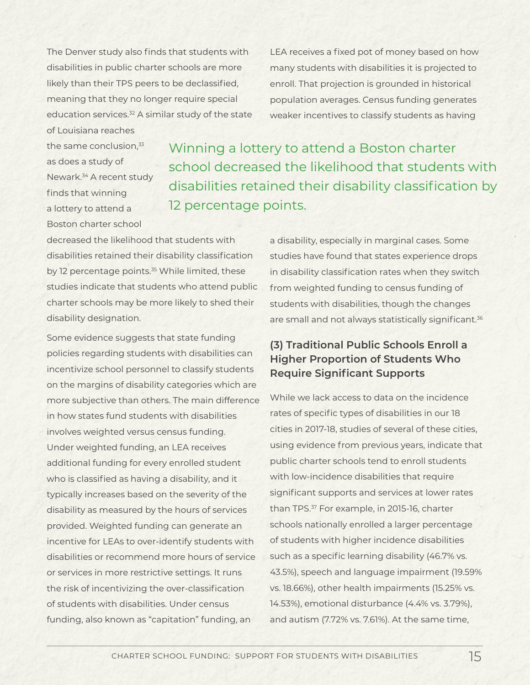The Denver study also finds that students with disabilities in public charter schools are more likely than their TPS peers to be declassified, meaning that they no longer require special education services.<sup>32</sup> A similar study of the state

LEA receives a fixed pot of money based on how many students with disabilities it is projected to enroll. That projection is grounded in historical population averages. Census funding generates weaker incentives to classify students as having

of Louisiana reaches the same conclusion.<sup>33</sup> as does a study of Newark.34 A recent study finds that winning a lottery to attend a Boston charter school

Winning a lottery to attend a Boston charter school decreased the likelihood that students with disabilities retained their disability classification by 12 percentage points.

decreased the likelihood that students with disabilities retained their disability classification by 12 percentage points.<sup>35</sup> While limited, these studies indicate that students who attend public charter schools may be more likely to shed their disability designation.

Some evidence suggests that state funding policies regarding students with disabilities can incentivize school personnel to classify students on the margins of disability categories which are more subjective than others. The main difference in how states fund students with disabilities involves weighted versus census funding. Under weighted funding, an LEA receives additional funding for every enrolled student who is classified as having a disability, and it typically increases based on the severity of the disability as measured by the hours of services provided. Weighted funding can generate an incentive for LEAs to over-identify students with disabilities or recommend more hours of service or services in more restrictive settings. It runs the risk of incentivizing the over-classification of students with disabilities. Under census funding, also known as "capitation" funding, an

a disability, especially in marginal cases. Some studies have found that states experience drops in disability classification rates when they switch from weighted funding to census funding of students with disabilities, though the changes are small and not always statistically significant.<sup>36</sup>

## **(3) Traditional Public Schools Enroll a Higher Proportion of Students Who Require Significant Supports**

While we lack access to data on the incidence rates of specific types of disabilities in our 18 cities in 2017-18, studies of several of these cities, using evidence from previous years, indicate that public charter schools tend to enroll students with low-incidence disabilities that require significant supports and services at lower rates than TPS.<sup>37</sup> For example, in 2015-16, charter schools nationally enrolled a larger percentage of students with higher incidence disabilities such as a specific learning disability (46.7% vs. 43.5%), speech and language impairment (19.59% vs. 18.66%), other health impairments (15.25% vs. 14.53%), emotional disturbance (4.4% vs. 3.79%), and autism (7.72% vs. 7.61%). At the same time,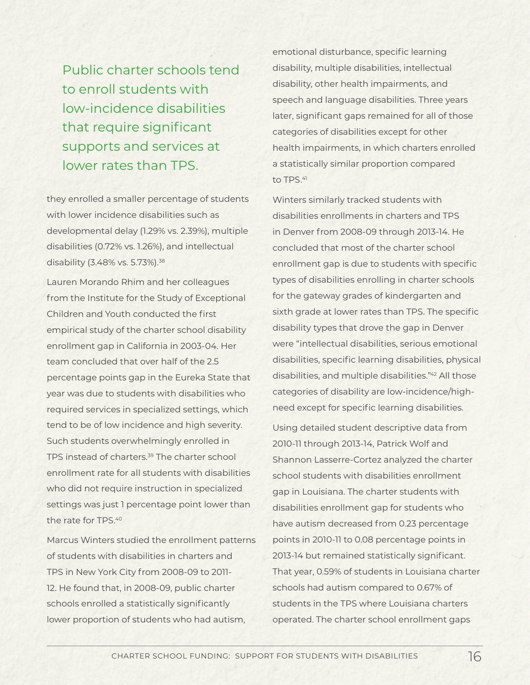Public charter schools tend to enroll students with low-incidence disabilities that require significant supports and services at lower rates than TPS.

they enrolled a smaller percentage of students with lower incidence disabilities such as developmental delay (1.29% vs. 2.39%), multiple disabilities (0.72% vs. 1.26%), and intellectual disability (3.48% vs. 5.73%).38

Lauren Morando Rhim and her colleagues from the Institute for the Study of Exceptional Children and Youth conducted the first empirical study of the charter school disability enrollment gap in California in 2003-04. Her team concluded that over half of the 2.5 percentage points gap in the Eureka State that year was due to students with disabilities who required services in specialized settings, which tend to be of low incidence and high severity. Such students overwhelmingly enrolled in TPS instead of charters.39 The charter school enrollment rate for all students with disabilities who did not require instruction in specialized settings was just 1 percentage point lower than the rate for TPS.40

Marcus Winters studied the enrollment patterns of students with disabilities in charters and TPS in New York City from 2008-09 to 2011- 12. He found that, in 2008-09, public charter schools enrolled a statistically significantly lower proportion of students who had autism,

emotional disturbance, specific learning disability, multiple disabilities, intellectual disability, other health impairments, and speech and language disabilities. Three years later, significant gaps remained for all of those categories of disabilities except for other health impairments, in which charters enrolled a statistically similar proportion compared to TPS.<sup>41</sup>

Winters similarly tracked students with disabilities enrollments in charters and TPS in Denver from 2008-09 through 2013-14. He concluded that most of the charter school enrollment gap is due to students with specific types of disabilities enrolling in charter schools for the gateway grades of kindergarten and sixth grade at lower rates than TPS. The specific disability types that drove the gap in Denver were "intellectual disabilities, serious emotional disabilities, specific learning disabilities, physical disabilities, and multiple disabilities."42 All those categories of disability are low-incidence/highneed except for specific learning disabilities.

Using detailed student descriptive data from 2010-11 through 2013-14, Patrick Wolf and Shannon Lasserre-Cortez analyzed the charter school students with disabilities enrollment gap in Louisiana. The charter students with disabilities enrollment gap for students who have autism decreased from 0.23 percentage points in 2010-11 to 0.08 percentage points in 2013-14 but remained statistically significant. That year, 0.59% of students in Louisiana charter schools had autism compared to 0.67% of students in the TPS where Louisiana charters operated. The charter school enrollment gaps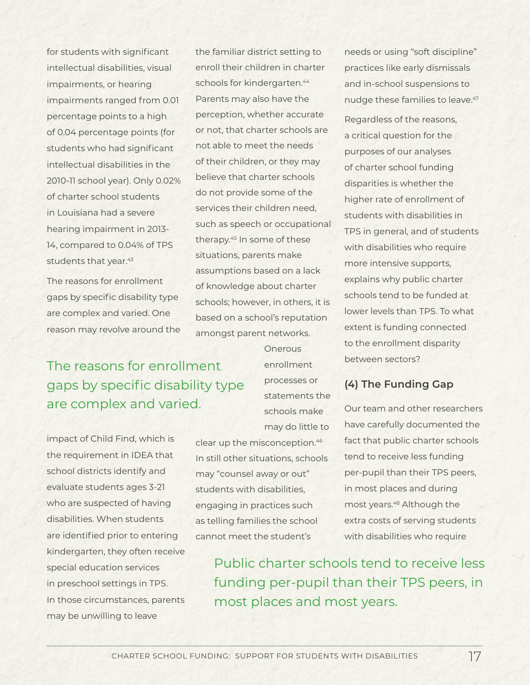for students with significant intellectual disabilities, visual impairments, or hearing impairments ranged from 0.01 percentage points to a high of 0.04 percentage points (for students who had significant intellectual disabilities in the 2010-11 school year). Only 0.02% of charter school students in Louisiana had a severe hearing impairment in 2013- 14, compared to 0.04% of TPS students that year.<sup>43</sup>

The reasons for enrollment gaps by specific disability type are complex and varied. One reason may revolve around the the familiar district setting to enroll their children in charter schools for kindergarten.<sup>44</sup> Parents may also have the perception, whether accurate or not, that charter schools are not able to meet the needs of their children, or they may believe that charter schools do not provide some of the services their children need, such as speech or occupational therapy.45 In some of these situations, parents make assumptions based on a lack of knowledge about charter schools; however, in others, it is based on a school's reputation amongst parent networks.

The reasons for enrollment gaps by specific disability type are complex and varied.

impact of Child Find, which is the requirement in IDEA that school districts identify and evaluate students ages 3-21 who are suspected of having disabilities. When students are identified prior to entering kindergarten, they often receive special education services in preschool settings in TPS. In those circumstances, parents may be unwilling to leave

**Onerous** enrollment processes or statements the schools make may do little to

clear up the misconception.46 In still other situations, schools may "counsel away or out" students with disabilities, engaging in practices such as telling families the school cannot meet the student's

needs or using "soft discipline" practices like early dismissals and in-school suspensions to nudge these families to leave.<sup>47</sup>

Regardless of the reasons, a critical question for the purposes of our analyses of charter school funding disparities is whether the higher rate of enrollment of students with disabilities in TPS in general, and of students with disabilities who require more intensive supports, explains why public charter schools tend to be funded at lower levels than TPS. To what extent is funding connected to the enrollment disparity between sectors?

### **(4) The Funding Gap**

Our team and other researchers have carefully documented the fact that public charter schools tend to receive less funding per-pupil than their TPS peers, in most places and during most years.<sup>48</sup> Although the extra costs of serving students with disabilities who require

Public charter schools tend to receive less funding per-pupil than their TPS peers, in most places and most years.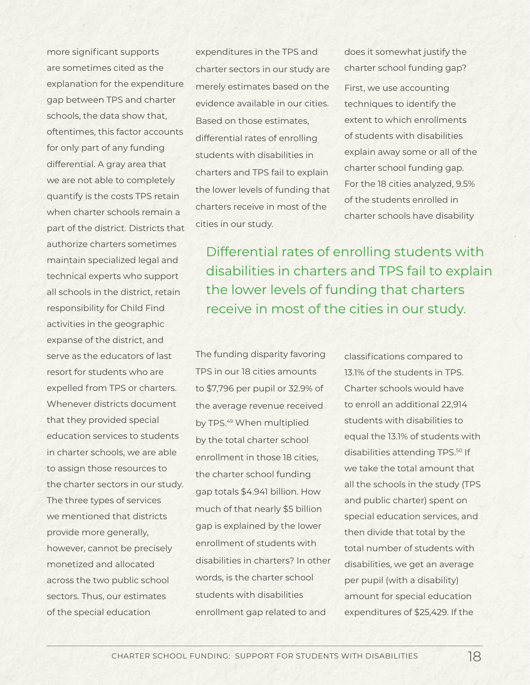more significant supports are sometimes cited as the explanation for the expenditure gap between TPS and charter schools, the data show that, oftentimes, this factor accounts for only part of any funding differential. A gray area that we are not able to completely quantify is the costs TPS retain when charter schools remain a part of the district. Districts that authorize charters sometimes maintain specialized legal and technical experts who support all schools in the district, retain responsibility for Child Find activities in the geographic expanse of the district, and serve as the educators of last resort for students who are expelled from TPS or charters. Whenever districts document that they provided special education services to students in charter schools, we are able to assign those resources to the charter sectors in our study. The three types of services we mentioned that districts provide more generally, however, cannot be precisely monetized and allocated across the two public school sectors. Thus, our estimates of the special education

expenditures in the TPS and charter sectors in our study are merely estimates based on the evidence available in our cities. Based on those estimates, differential rates of enrolling students with disabilities in charters and TPS fail to explain the lower levels of funding that charters receive in most of the cities in our study.

does it somewhat justify the charter school funding gap? First, we use accounting techniques to identify the extent to which enrollments of students with disabilities explain away some or all of the charter school funding gap. For the 18 cities analyzed, 9.5% of the students enrolled in charter schools have disability

Differential rates of enrolling students with disabilities in charters and TPS fail to explain the lower levels of funding that charters receive in most of the cities in our study.

The funding disparity favoring TPS in our 18 cities amounts to \$7,796 per pupil or 32.9% of the average revenue received by TPS.<sup>49</sup> When multiplied by the total charter school enrollment in those 18 cities, the charter school funding gap totals \$4.941 billion. How much of that nearly \$5 billion gap is explained by the lower enrollment of students with disabilities in charters? In other words, is the charter school students with disabilities enrollment gap related to and

classifications compared to 13.1% of the students in TPS. Charter schools would have to enroll an additional 22,914 students with disabilities to equal the 13.1% of students with disabilities attending TPS.<sup>50</sup> If we take the total amount that all the schools in the study (TPS and public charter) spent on special education services, and then divide that total by the total number of students with disabilities, we get an average per pupil (with a disability) amount for special education expenditures of \$25,429. If the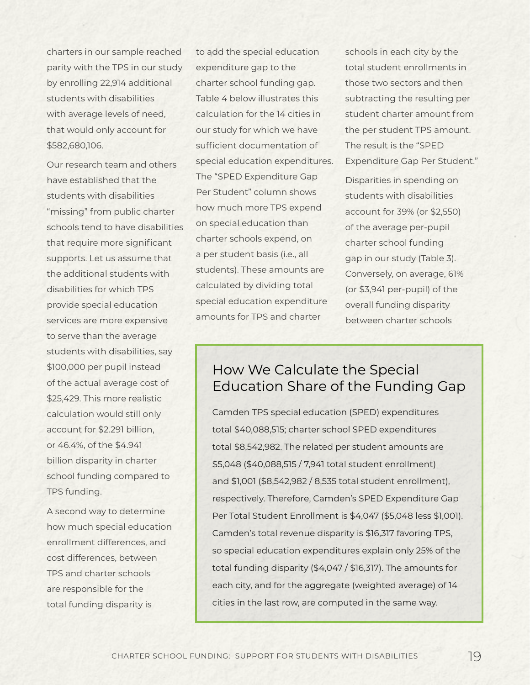charters in our sample reached parity with the TPS in our study by enrolling 22,914 additional students with disabilities with average levels of need, that would only account for \$582,680,106.

Our research team and others have established that the students with disabilities "missing" from public charter schools tend to have disabilities that require more significant supports. Let us assume that the additional students with disabilities for which TPS provide special education services are more expensive to serve than the average students with disabilities, say \$100,000 per pupil instead of the actual average cost of \$25,429. This more realistic calculation would still only account for \$2.291 billion, or 46.4%, of the \$4.941 billion disparity in charter school funding compared to TPS funding.

A second way to determine how much special education enrollment differences, and cost differences, between TPS and charter schools are responsible for the total funding disparity is

to add the special education expenditure gap to the charter school funding gap. Table 4 below illustrates this calculation for the 14 cities in our study for which we have sufficient documentation of special education expenditures. The "SPED Expenditure Gap Per Student" column shows how much more TPS expend on special education than charter schools expend, on a per student basis (i.e., all students). These amounts are calculated by dividing total special education expenditure amounts for TPS and charter

schools in each city by the total student enrollments in those two sectors and then subtracting the resulting per student charter amount from the per student TPS amount. The result is the "SPED Expenditure Gap Per Student." Disparities in spending on students with disabilities

account for 39% (or \$2,550) of the average per-pupil charter school funding gap in our study (Table 3). Conversely, on average, 61% (or \$3,941 per-pupil) of the overall funding disparity between charter schools

# How We Calculate the Special Education Share of the Funding Gap

Camden TPS special education (SPED) expenditures total \$40,088,515; charter school SPED expenditures total \$8,542,982. The related per student amounts are \$5,048 (\$40,088,515 / 7,941 total student enrollment) and \$1,001 (\$8,542,982 / 8,535 total student enrollment), respectively. Therefore, Camden's SPED Expenditure Gap Per Total Student Enrollment is \$4,047 (\$5,048 less \$1,001). Camden's total revenue disparity is \$16,317 favoring TPS, so special education expenditures explain only 25% of the total funding disparity (\$4,047 / \$16,317). The amounts for each city, and for the aggregate (weighted average) of 14 cities in the last row, are computed in the same way.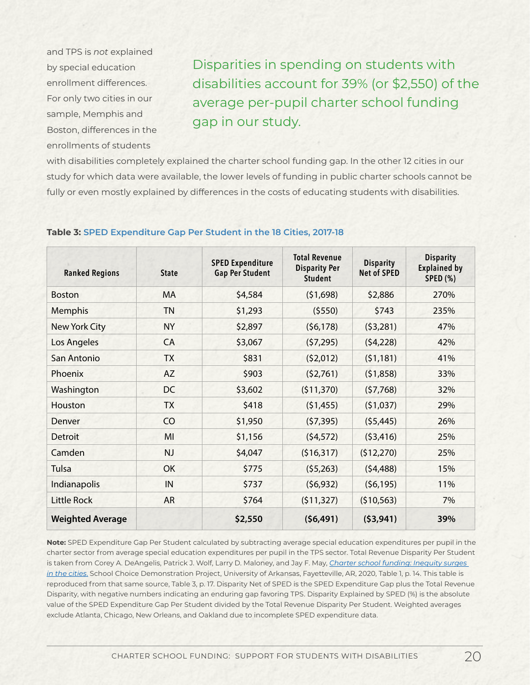and TPS is *not* explained by special education enrollment differences. For only two cities in our sample, Memphis and Boston, differences in the enrollments of students

Disparities in spending on students with disabilities account for 39% (or \$2,550) of the average per-pupil charter school funding gap in our study.

with disabilities completely explained the charter school funding gap. In the other 12 cities in our study for which data were available, the lower levels of funding in public charter schools cannot be fully or even mostly explained by differences in the costs of educating students with disabilities.

| <b>Ranked Regions</b>   | <b>State</b> | <b>SPED Expenditure</b><br><b>Gap Per Student</b> | <b>Total Revenue</b><br><b>Disparity Per</b><br><b>Student</b> | <b>Disparity</b><br><b>Net of SPED</b> | <b>Disparity</b><br><b>Explained by</b><br><b>SPED (%)</b> |
|-------------------------|--------------|---------------------------------------------------|----------------------------------------------------------------|----------------------------------------|------------------------------------------------------------|
| <b>Boston</b>           | <b>MA</b>    | \$4,584                                           | (51,698)                                                       | \$2,886                                | 270%                                                       |
| Memphis                 | <b>TN</b>    | \$1,293                                           | (5550)                                                         | \$743                                  | 235%                                                       |
| <b>New York City</b>    | <b>NY</b>    | \$2,897                                           | (56, 178)                                                      | (53,281)                               | 47%                                                        |
| Los Angeles             | CA           | \$3,067                                           | (57, 295)                                                      | (54, 228)                              | 42%                                                        |
| San Antonio             | <b>TX</b>    | \$831                                             | (52,012)                                                       | (51, 181)                              | 41%                                                        |
| Phoenix                 | AZ           | \$903                                             | (52,761)                                                       | (51,858)                               | 33%                                                        |
| Washington              | DC           | \$3,602                                           | (511, 370)                                                     | (57,768)                               | 32%                                                        |
| Houston                 | <b>TX</b>    | \$418                                             | (51, 455)                                                      | (51,037)                               | 29%                                                        |
| Denver                  | CO           | \$1,950                                           | (57, 395)                                                      | (55, 445)                              | 26%                                                        |
| <b>Detroit</b>          | MI           | \$1,156                                           | (54, 572)                                                      | (53, 416)                              | 25%                                                        |
| Camden                  | <b>NJ</b>    | \$4,047                                           | (516, 317)                                                     | (512, 270)                             | 25%                                                        |
| Tulsa                   | OK           | \$775                                             | (55,263)                                                       | (54, 488)                              | 15%                                                        |
| Indianapolis            | IN           | \$737                                             | (56, 932)                                                      | (56, 195)                              | 11%                                                        |
| <b>Little Rock</b>      | <b>AR</b>    | \$764                                             | (511, 327)                                                     | (510, 563)                             | 7%                                                         |
| <b>Weighted Average</b> |              | \$2,550                                           | (56, 491)                                                      | (53,941)                               | 39%                                                        |

#### **Table 3: SPED Expenditure Gap Per Student in the 18 Cities, 2017-18**

**Note:** SPED Expenditure Gap Per Student calculated by subtracting average special education expenditures per pupil in the charter sector from average special education expenditures per pupil in the TPS sector. Total Revenue Disparity Per Student is taken from Corey A. DeAngelis, Patrick J. Wolf, Larry D. Maloney, and Jay F. May, *[Charter school funding: Inequity surges](https://scdp.uark.edu/charter-school-funding-inequity-surges-in-the-cities/)  [in the cities](https://scdp.uark.edu/charter-school-funding-inequity-surges-in-the-cities/)*[.](https://scdp.uark.edu/charter-school-funding-inequity-surges-in-the-cities/) School Choice Demonstration Project, University of Arkansas, Fayetteville, AR, 2020, Table 1, p. 14. This table is reproduced from that same source, Table 3, p. 17. Disparity Net of SPED is the SPED Expenditure Gap plus the Total Revenue Disparity, with negative numbers indicating an enduring gap favoring TPS. Disparity Explained by SPED (%) is the absolute value of the SPED Expenditure Gap Per Student divided by the Total Revenue Disparity Per Student. Weighted averages exclude Atlanta, Chicago, New Orleans, and Oakland due to incomplete SPED expenditure data.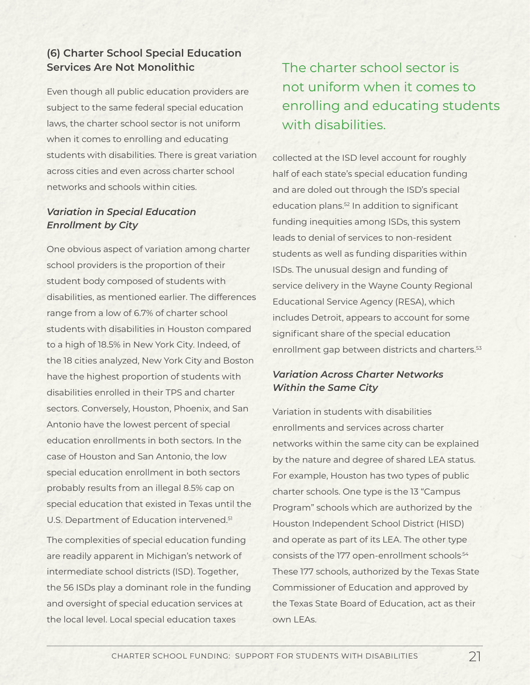## **(6) Charter School Special Education Services Are Not Monolithic**

Even though all public education providers are subject to the same federal special education laws, the charter school sector is not uniform when it comes to enrolling and educating students with disabilities. There is great variation across cities and even across charter school networks and schools within cities.

### *Variation in Special Education Enrollment by City*

One obvious aspect of variation among charter school providers is the proportion of their student body composed of students with disabilities, as mentioned earlier. The differences range from a low of 6.7% of charter school students with disabilities in Houston compared to a high of 18.5% in New York City. Indeed, of the 18 cities analyzed, New York City and Boston have the highest proportion of students with disabilities enrolled in their TPS and charter sectors. Conversely, Houston, Phoenix, and San Antonio have the lowest percent of special education enrollments in both sectors. In the case of Houston and San Antonio, the low special education enrollment in both sectors probably results from an illegal 8.5% cap on special education that existed in Texas until the U.S. Department of Education intervened.<sup>51</sup>

The complexities of special education funding are readily apparent in Michigan's network of intermediate school districts (ISD). Together, the 56 ISDs play a dominant role in the funding and oversight of special education services at the local level. Local special education taxes

# The charter school sector is not uniform when it comes to enrolling and educating students with disabilities.

collected at the ISD level account for roughly half of each state's special education funding and are doled out through the ISD's special education plans.52 In addition to significant funding inequities among ISDs, this system leads to denial of services to non-resident students as well as funding disparities within ISDs. The unusual design and funding of service delivery in the Wayne County Regional Educational Service Agency (RESA), which includes Detroit, appears to account for some significant share of the special education enrollment gap between districts and charters.<sup>53</sup>

### *Variation Across Charter Networks Within the Same City*

Variation in students with disabilities enrollments and services across charter networks within the same city can be explained by the nature and degree of shared LEA status. For example, Houston has two types of public charter schools. One type is the 13 "Campus Program" schools which are authorized by the Houston Independent School District (HISD) and operate as part of its LEA. The other type consists of the 177 open-enrollment schools<sup>54</sup> These 177 schools, authorized by the Texas State Commissioner of Education and approved by the Texas State Board of Education, act as their own LEAs.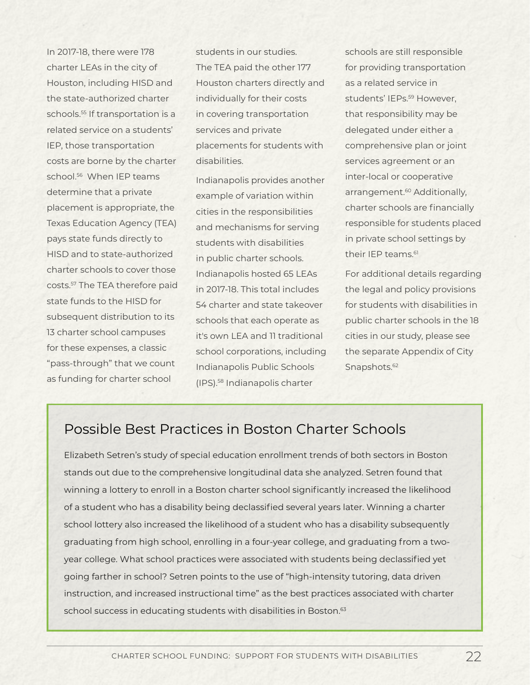In 2017-18, there were 178 charter LEAs in the city of Houston, including HISD and the state-authorized charter schools.<sup>55</sup> If transportation is a related service on a students' IEP, those transportation costs are borne by the charter school.<sup>56</sup> When IEP teams determine that a private placement is appropriate, the Texas Education Agency (TEA) pays state funds directly to HISD and to state-authorized charter schools to cover those costs.57 The TEA therefore paid state funds to the HISD for subsequent distribution to its 13 charter school campuses for these expenses, a classic "pass-through" that we count as funding for charter school

students in our studies. The TEA paid the other 177 Houston charters directly and individually for their costs in covering transportation services and private placements for students with disabilities.

Indianapolis provides another example of variation within cities in the responsibilities and mechanisms for serving students with disabilities in public charter schools. Indianapolis hosted 65 LEAs in 2017-18. This total includes 54 charter and state takeover schools that each operate as it's own LEA and 11 traditional school corporations, including Indianapolis Public Schools (IPS).58 Indianapolis charter

schools are still responsible for providing transportation as a related service in students' IFPs.<sup>59</sup> However. that responsibility may be delegated under either a comprehensive plan or joint services agreement or an inter-local or cooperative arrangement.<sup>60</sup> Additionally, charter schools are financially responsible for students placed in private school settings by their IFP teams.<sup>61</sup>

For additional details regarding the legal and policy provisions for students with disabilities in public charter schools in the 18 cities in our study, please see the separate Appendix of City Snapshots.<sup>62</sup>

# Possible Best Practices in Boston Charter Schools

Elizabeth Setren's study of special education enrollment trends of both sectors in Boston stands out due to the comprehensive longitudinal data she analyzed. Setren found that winning a lottery to enroll in a Boston charter school significantly increased the likelihood of a student who has a disability being declassified several years later. Winning a charter school lottery also increased the likelihood of a student who has a disability subsequently graduating from high school, enrolling in a four-year college, and graduating from a twoyear college. What school practices were associated with students being declassified yet going farther in school? Setren points to the use of "high-intensity tutoring, data driven instruction, and increased instructional time" as the best practices associated with charter school success in educating students with disabilities in Boston.<sup>63</sup>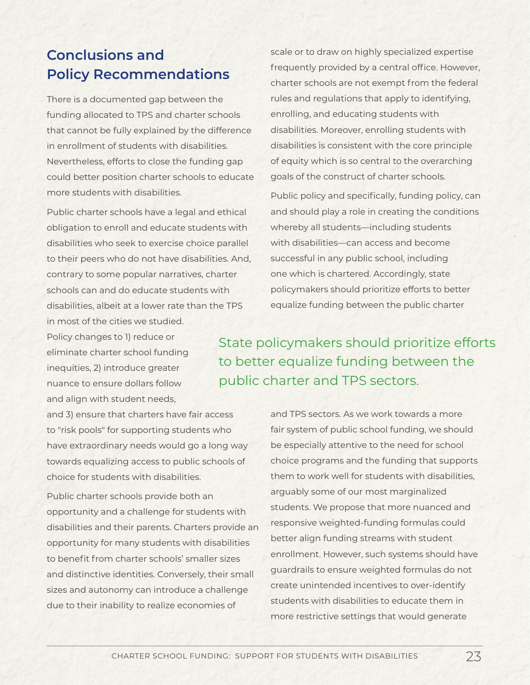# **Conclusions and Policy Recommendations**

There is a documented gap between the funding allocated to TPS and charter schools that cannot be fully explained by the difference in enrollment of students with disabilities. Nevertheless, efforts to close the funding gap could better position charter schools to educate more students with disabilities.

Public charter schools have a legal and ethical obligation to enroll and educate students with disabilities who seek to exercise choice parallel to their peers who do not have disabilities. And, contrary to some popular narratives, charter schools can and do educate students with disabilities, albeit at a lower rate than the TPS in most of the cities we studied.

Policy changes to 1) reduce or eliminate charter school funding inequities, 2) introduce greater nuance to ensure dollars follow and align with student needs,

and 3) ensure that charters have fair access to "risk pools" for supporting students who have extraordinary needs would go a long way towards equalizing access to public schools of choice for students with disabilities.

Public charter schools provide both an opportunity and a challenge for students with disabilities and their parents. Charters provide an opportunity for many students with disabilities to benefit from charter schools' smaller sizes and distinctive identities. Conversely, their small sizes and autonomy can introduce a challenge due to their inability to realize economies of

scale or to draw on highly specialized expertise frequently provided by a central office. However, charter schools are not exempt from the federal rules and regulations that apply to identifying, enrolling, and educating students with disabilities. Moreover, enrolling students with disabilities is consistent with the core principle of equity which is so central to the overarching goals of the construct of charter schools.

Public policy and specifically, funding policy, can and should play a role in creating the conditions whereby all students—including students with disabilities—can access and become successful in any public school, including one which is chartered. Accordingly, state policymakers should prioritize efforts to better equalize funding between the public charter

State policymakers should prioritize efforts to better equalize funding between the public charter and TPS sectors.

> and TPS sectors. As we work towards a more fair system of public school funding, we should be especially attentive to the need for school choice programs and the funding that supports them to work well for students with disabilities, arguably some of our most marginalized students. We propose that more nuanced and responsive weighted-funding formulas could better align funding streams with student enrollment. However, such systems should have guardrails to ensure weighted formulas do not create unintended incentives to over-identify students with disabilities to educate them in more restrictive settings that would generate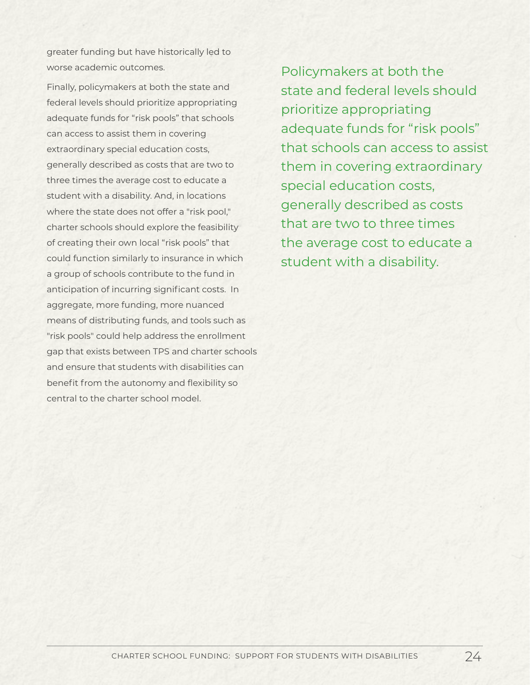greater funding but have historically led to worse academic outcomes.

Finally, policymakers at both the state and federal levels should prioritize appropriating adequate funds for "risk pools" that schools can access to assist them in covering extraordinary special education costs, generally described as costs that are two to three times the average cost to educate a student with a disability. And, in locations where the state does not offer a "risk pool," charter schools should explore the feasibility of creating their own local "risk pools" that could function similarly to insurance in which a group of schools contribute to the fund in anticipation of incurring significant costs. In aggregate, more funding, more nuanced means of distributing funds, and tools such as "risk pools" could help address the enrollment gap that exists between TPS and charter schools and ensure that students with disabilities can benefit from the autonomy and flexibility so central to the charter school model.

Policymakers at both the state and federal levels should prioritize appropriating adequate funds for "risk pools" that schools can access to assist them in covering extraordinary special education costs, generally described as costs that are two to three times the average cost to educate a student with a disability.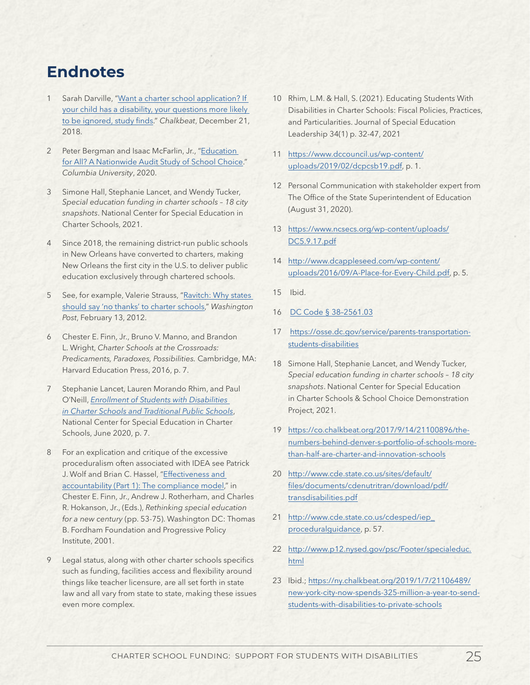# **Endnotes**

- 1 Sarah Darville, "Want a charter school application? If [your child has a disability, your questions more likely](https://www.chalkbeat.org/2018/12/21/21106398/want-a-charter-school-application-if-your-child-has-a-disability-your-questions-more-likely-to-be-ig)  [to be ignored, study finds](https://www.chalkbeat.org/2018/12/21/21106398/want-a-charter-school-application-if-your-child-has-a-disability-your-questions-more-likely-to-be-ig)." *Chalkbeat*, December 21, 2018.
- 2 Peter Bergman and Isaac McFarlin, Jr., ["Education](http://www.columbia.edu/~psb2101/BergmanMcFarlin_school_choice.pdf)  [for All? A Nationwide Audit Study of School Choice.](http://www.columbia.edu/~psb2101/BergmanMcFarlin_school_choice.pdf)" *Columbia University*, 2020.
- 3 Simone Hall, Stephanie Lancet, and Wendy Tucker, *Special education funding in charter schools – 18 city snapshots*. National Center for Special Education in Charter Schools, 2021.
- 4 Since 2018, the remaining district-run public schools in New Orleans have converted to charters, making New Orleans the first city in the U.S. to deliver public education exclusively through chartered schools.
- 5 See, for example, Valerie Strauss, ["Ravitch: Why states](https://www.washingtonpost.com/blogs/answer-sheet/post/ravitch-why-states-%20should-say-no-thanks-to-charterschools/2012/02/12/gIQAdA3b9Q_blog.html)  [should say 'no thanks' to charter schools](https://www.washingtonpost.com/blogs/answer-sheet/post/ravitch-why-states-%20should-say-no-thanks-to-charterschools/2012/02/12/gIQAdA3b9Q_blog.html)," *Washington Post*, February 13, 2012.
- 6 Chester E. Finn, Jr., Bruno V. Manno, and Brandon L. Wright, *Charter Schools at the Crossroads: Predicaments, Paradoxes, Possibilities.* Cambridge, MA: Harvard Education Press, 2016, p. 7.
- 7 Stephanie Lancet, Lauren Morando Rhim, and Paul O'Neill, *[Enrollment of Students with Disabilities](https://www.centerforlearnerequity.org/wp-content/uploads/Enrollment-of-Students-with-Disabilities-in-Charter-Schools-and-Traditional-Public-Schools.pdf)  [in Charter Schools and Traditional Public Schools](https://www.centerforlearnerequity.org/wp-content/uploads/Enrollment-of-Students-with-Disabilities-in-Charter-Schools-and-Traditional-Public-Schools.pdf)*, National Center for Special Education in Charter Schools, June 2020, p. 7.
- 8 For an explication and critique of the excessive proceduralism often associated with IDEA see Patrick J. Wolf and Brian C. Hassel, "[Effectiveness and](http://www.umsemumtam.cz/user/files/71-effectiveness_and_accountability.pdf)  [accountability \(Part 1\): The compliance model,](http://www.umsemumtam.cz/user/files/71-effectiveness_and_accountability.pdf)" in Chester E. Finn, Jr., Andrew J. Rotherham, and Charles R. Hokanson, Jr., (Eds.), *Rethinking special education for a new century* (pp. 53-75). Washington DC: Thomas B. Fordham Foundation and Progressive Policy Institute, 2001.
- Legal status, along with other charter schools specifics such as funding, facilities access and flexibility around things like teacher licensure, are all set forth in state law and all vary from state to state, making these issues even more complex.
- 10 Rhim, L.M. & Hall, S. (2021). Educating Students With Disabilities in Charter Schools: Fiscal Policies, Practices, and Particularities. Journal of Special Education Leadership 34(1) p. 32-47, 2021
- 11 [https://www.dccouncil.us/wp-content/](https://www.dccouncil.us/wp-content/uploads/2019/02/dcpcsb19.pdf) [uploads/2019/02/dcpcsb19.pdf,](https://www.dccouncil.us/wp-content/uploads/2019/02/dcpcsb19.pdf) p. 1.
- 12 Personal Communication with stakeholder expert from The Office of the State Superintendent of Education (August 31, 2020).
- 13 [https://www.ncsecs.org/wp-content/uploads/](https://www.ncsecs.org/wp-content/uploads/DC5.9.17.pdf) [DC5.9.17.pdf](https://www.ncsecs.org/wp-content/uploads/DC5.9.17.pdf)
- 14 [http://www.dcappleseed.com/wp-content/](http://www.dcappleseed.com/wp-content/uploads/2016/09/A-Place-for-Every-Child.pdf) [uploads/2016/09/A-Place-for-Every-Child.pdf,](http://www.dcappleseed.com/wp-content/uploads/2016/09/A-Place-for-Every-Child.pdf) p. 5.
- 15 Ibid.
- 16 [DC Code § 38–2561.03](https://code.dccouncil.us/dc/council/code/sections/38-2561.03.html)
- 17 [https://osse.dc.gov/service/parents-transportation](https://osse.dc.gov/service/parents-transportation-students-disabilities)[students-disabilities](https://osse.dc.gov/service/parents-transportation-students-disabilities)
- 18 Simone Hall, Stephanie Lancet, and Wendy Tucker, *Special education funding in charter schools – 18 city snapshots*. National Center for Special Education in Charter Schools & School Choice Demonstration Project, 2021.
- 19 [https://co.chalkbeat.org/2017/9/14/21100896/the](https://co.chalkbeat.org/2017/9/14/21100896/the-numbers-behind-denver-s-portfolio-of-schools-more-than-half-are-charter-and-innovation-schools)[numbers-behind-denver-s-portfolio-of-schools-more](https://co.chalkbeat.org/2017/9/14/21100896/the-numbers-behind-denver-s-portfolio-of-schools-more-than-half-are-charter-and-innovation-schools)[than-half-are-charter-and-innovation-schools](https://co.chalkbeat.org/2017/9/14/21100896/the-numbers-behind-denver-s-portfolio-of-schools-more-than-half-are-charter-and-innovation-schools)
- 20 [http://www.cde.state.co.us/sites/default/](http://www.cde.state.co.us/sites/default/files/documents/cdenutritran/download/pdf/transdisabilities.pdf) [files/documents/cdenutritran/download/pdf/](http://www.cde.state.co.us/sites/default/files/documents/cdenutritran/download/pdf/transdisabilities.pdf) [transdisabilities.pdf](http://www.cde.state.co.us/sites/default/files/documents/cdenutritran/download/pdf/transdisabilities.pdf)
- 21 [http://www.cde.state.co.us/cdesped/iep\\_](http://www.cde.state.co.us/cdesped/iep_proceduralguidance) [proceduralguidance,](http://www.cde.state.co.us/cdesped/iep_proceduralguidance) p. 57.
- 22 http://www.p12.nysed.gov/psc/Footer/specialeduc. html
- 23 Ibid.[; https://ny.chalkbeat.org/2019/1/7/21106489/](https://ny.chalkbeat.org/2019/1/7/21106489/new-york-city-now-spends-325-million-a-year-to-send-students-with-disabilities-to-private-schools) [new-york-city-now-spends-325-million-a-year-to-send](https://ny.chalkbeat.org/2019/1/7/21106489/new-york-city-now-spends-325-million-a-year-to-send-students-with-disabilities-to-private-schools)[students-with-disabilities-to-private-schools](https://ny.chalkbeat.org/2019/1/7/21106489/new-york-city-now-spends-325-million-a-year-to-send-students-with-disabilities-to-private-schools)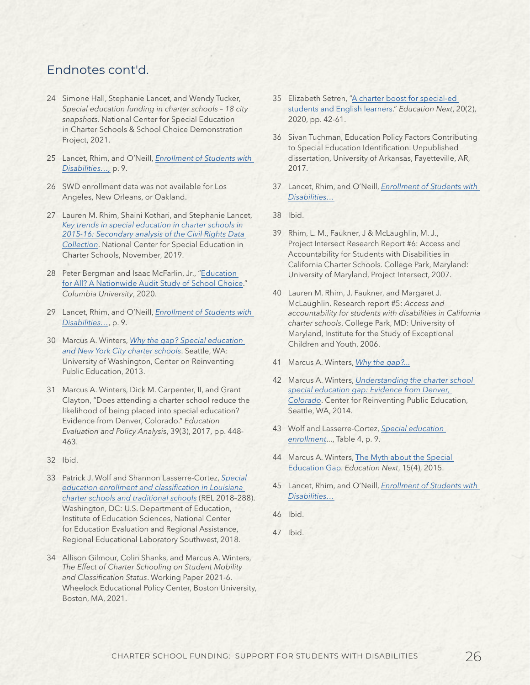## Endnotes cont'd.

- 24 Simone Hall, Stephanie Lancet, and Wendy Tucker, *Special education funding in charter schools – 18 city snapshots*. National Center for Special Education in Charter Schools & School Choice Demonstration Project, 2021.
- 25 Lancet, Rhim, and O'Neill, *[Enrollment of Students with](https://www.centerforlearnerequity.org/wp-content/uploads/Enrollment-of-Students-with-Disabilities-in-Charter-Schools-and-Traditional-Public-Schools.pdf)  [Disabilities…](https://www.centerforlearnerequity.org/wp-content/uploads/Enrollment-of-Students-with-Disabilities-in-Charter-Schools-and-Traditional-Public-Schools.pdf),* p. 9.
- 26 SWD enrollment data was not available for Los Angeles, New Orleans, or Oakland.
- 27 Lauren M. Rhim, Shaini Kothari, and Stephanie Lancet, *[Key trends in special education in charter schools in](https://centerforlearnerequity.org/wp-content/uploads/NCSECS-15-16-CRDC-Report.pdf)  [2015-16: Secondary analysis of the Civil Rights Data](https://centerforlearnerequity.org/wp-content/uploads/NCSECS-15-16-CRDC-Report.pdf)  [Collection](https://centerforlearnerequity.org/wp-content/uploads/NCSECS-15-16-CRDC-Report.pdf)*. National Center for Special Education in Charter Schools, November, 2019.
- 28 Peter Bergman and Isaac McFarlin, Jr., "Education [for All? A Nationwide Audit Study of School Choice.](http://www.columbia.edu/~psb2101/BergmanMcFarlin_school_choice.pdf)" *Columbia University*, 2020.
- 29 Lancet, Rhim, and O'Neill, *[Enrollment of Students with](https://www.centerforlearnerequity.org/wp-content/uploads/Enrollment-of-Students-with-Disabilities-in-Charter-Schools-and-Traditional-Public-Schools.pdf)  [Disabilities…](https://www.centerforlearnerequity.org/wp-content/uploads/Enrollment-of-Students-with-Disabilities-in-Charter-Schools-and-Traditional-Public-Schools.pdf)*, p. 9.
- 30 Marcus A. Winters, *[Why the gap? Special education](https://www.crpe.org/sites/default/files/CRPE_report_speced_gap-nyc-charters.sept13.pdf)  [and New York City charter schools](https://www.crpe.org/sites/default/files/CRPE_report_speced_gap-nyc-charters.sept13.pdf)*. Seattle, WA: University of Washington, Center on Reinventing Public Education, 2013.
- 31 Marcus A. Winters, Dick M. Carpenter, II, and Grant Clayton, "Does attending a charter school reduce the likelihood of being placed into special education? Evidence from Denver, Colorado." *Education Evaluation and Policy Analysis*, 39(3), 2017, pp. 448- 463.
- 32 Ibid.
- 33 Patrick J. Wolf and Shannon Lasserre-Cortez, *[Special](https://ies.ed.gov/ncee/edlabs/projects/project.asp?projectID=4495)  [education enrollment and classification in Louisiana](https://ies.ed.gov/ncee/edlabs/projects/project.asp?projectID=4495)  [charter schools and traditional schools](https://ies.ed.gov/ncee/edlabs/projects/project.asp?projectID=4495)* (REL 2018–288). Washington, DC: U.S. Department of Education, Institute of Education Sciences, National Center for Education Evaluation and Regional Assistance, Regional Educational Laboratory Southwest, 2018.
- 34 Allison Gilmour, Colin Shanks, and Marcus A. Winters, *The Effect of Charter Schooling on Student Mobility and Classification Status*. Working Paper 2021-6. Wheelock Educational Policy Center, Boston University, Boston, MA, 2021.
- 35 Elizabeth Setren, ["A charter boost for special-ed](https://www.educationnext.org/charter-boost-special-ed-students-english-learners-inclusion-boston-charter-schools/)  [students and English learners.](https://www.educationnext.org/charter-boost-special-ed-students-english-learners-inclusion-boston-charter-schools/)" *Education Next*, 20(2), 2020, pp. 42-61.
- 36 Sivan Tuchman, Education Policy Factors Contributing to Special Education Identification. Unpublished dissertation, University of Arkansas, Fayetteville, AR, 2017.
- 37 Lancet, Rhim, and O'Neill, *[Enrollment of Students with](https://www.centerforlearnerequity.org/wp-content/uploads/Enrollment-of-Students-with-Disabilities-in-Charter-Schools-and-Traditional-Public-Schools.pdf)  [Disabilities…](https://www.centerforlearnerequity.org/wp-content/uploads/Enrollment-of-Students-with-Disabilities-in-Charter-Schools-and-Traditional-Public-Schools.pdf)*
- 38 Ibid.
- 39 Rhim, L. M., Faukner, J & McLaughlin, M. J., Project Intersect Research Report #6: Access and Accountability for Students with Disabilities in California Charter Schools. College Park, Maryland: University of Maryland, Project Intersect, 2007.
- 40 Lauren M. Rhim, J. Faukner, and Margaret J. McLaughlin. Research report #5: *Access and accountability for students with disabilities in California charter schools*. College Park, MD: University of Maryland, Institute for the Study of Exceptional Children and Youth, 2006.
- 41 Marcus A. Winters, *[Why the gap?...](https://www.crpe.org/sites/default/files/CRPE_report_speced_gap-nyc-charters.sept13.pdf)*
- 42 Marcus A. Winters, *[Understanding the charter school](https://files.eric.ed.gov/fulltext/ED546765.pdf)  [special education gap: Evidence from Denver,](https://files.eric.ed.gov/fulltext/ED546765.pdf)  [Colorado](https://files.eric.ed.gov/fulltext/ED546765.pdf)*. Center for Reinventing Public Education, Seattle, WA, 2014.
- 43 Wolf and Lasserre-Cortez, *[Special education](https://ies.ed.gov/ncee/edlabs/projects/project.asp?projectID=4495)  [enrollment](https://ies.ed.gov/ncee/edlabs/projects/project.asp?projectID=4495)*..., Table 4, p. 9.
- 44 Marcus A. Winters, [The Myth about the Special](https://www.educationnext.org/myth-special-education-gap-charter-enrollment/)  [Education Gap](https://www.educationnext.org/myth-special-education-gap-charter-enrollment/). *Education Next*, 15(4), 2015.
- 45 Lancet, Rhim, and O'Neill, *[Enrollment of Students with](https://www.centerforlearnerequity.org/wp-content/uploads/Enrollment-of-Students-with-Disabilities-in-Charter-Schools-and-Traditional-Public-Schools.pdf)  [Disabilities…](https://www.centerforlearnerequity.org/wp-content/uploads/Enrollment-of-Students-with-Disabilities-in-Charter-Schools-and-Traditional-Public-Schools.pdf)*
- 46 Ibid.
- 47 Ibid.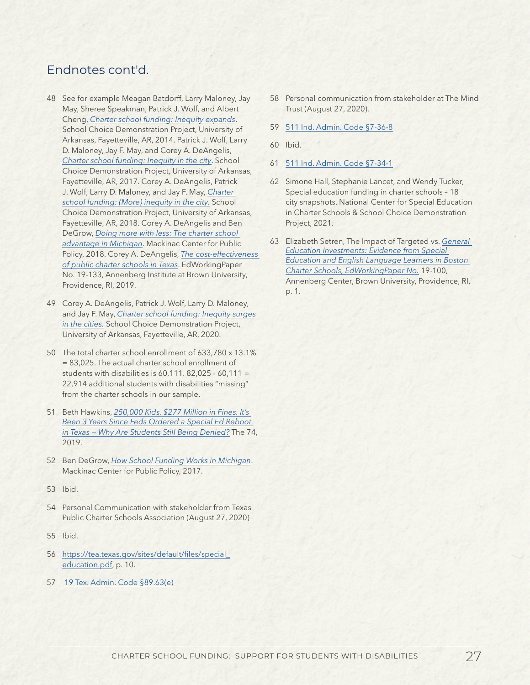## Endnotes cont'd.

- 48 See for example Meagan Batdorff, Larry Maloney, Jay May, Sheree Speakman, Patrick J. Wolf, and Albert Cheng, *[Charter school funding: Inequity expands](http://www.uaedreform.org/wp-content/uploads/charter-funding-inequity-expands.pdf)*. School Choice Demonstration Project, University of Arkansas, Fayetteville, AR, 2014. Patrick J. Wolf, Larry D. Maloney, Jay F. May, and Corey A. DeAngelis, *[Charter school funding: Inequity in the city](https://cpb-us-e1.wpmucdn.com/wordpressua.uark.edu/dist/9/544/files/2018/10/inequity-in-the-city-1khee1v.pdf)*. School Choice Demonstration Project, University of Arkansas, Fayetteville, AR, 2017. Corey A. DeAngelis, Patrick J. Wolf, Larry D. Maloney, and Jay F. May, *[Charter](https://cpb-us-e1.wpmucdn.com/wordpressua.uark.edu/dist/9/544/files/2018/11/EMBARGOED-charter-school-funding-more-inequity-in-the-city-2dabxvv.pdf)  [school funding: \(More\) inequity in the city.](https://cpb-us-e1.wpmucdn.com/wordpressua.uark.edu/dist/9/544/files/2018/11/EMBARGOED-charter-school-funding-more-inequity-in-the-city-2dabxvv.pdf)* School Choice Demonstration Project, University of Arkansas, Fayetteville, AR, 2018. Corey A. DeAngelis and Ben DeGrow, *[Doing more with less: The charter school](https://www.mackinac.org/archives/2018/s2018-01.pdf)  [advantage in Michigan](https://www.mackinac.org/archives/2018/s2018-01.pdf)*. Mackinac Center for Public Policy, 2018. Corey A. DeAngelis, *[The cost-effectiveness](https://www.edworkingpapers.com/ai19-133)  [of public charter schools in Texas](https://www.edworkingpapers.com/ai19-133)*. EdWorkingPaper No. 19-133, Annenberg Institute at Brown University, Providence, RI, 2019.
- 49 Corey A. DeAngelis, Patrick J. Wolf, Larry D. Maloney, and Jay F. May, *[Charter school funding: Inequity surges](https://scdp.uark.edu/charter-school-funding-inequity-surges-in-the-cities/)  [in the cities.](https://scdp.uark.edu/charter-school-funding-inequity-surges-in-the-cities/)* School Choice Demonstration Project, University of Arkansas, Fayetteville, AR, 2020.
- 50 The total charter school enrollment of 633,780 x 13.1% = 83,025. The actual charter school enrollment of students with disabilities is  $60.111$ . 82.025 -  $60.111$  = 22,914 additional students with disabilities "missing" from the charter schools in our sample.
- 51 Beth Hawkins, *[250,000 Kids. \\$277 Million in Fines. It's](https://www.the74million.org/article/250000-kids-277-million-in-fines-its-been-3-years-since-feds-ordered-a-special-ed-reboot-in-texas-why-are-students-still-being-denied/)  [Been 3 Years Since Feds Ordered a Special Ed Reboot](https://www.the74million.org/article/250000-kids-277-million-in-fines-its-been-3-years-since-feds-ordered-a-special-ed-reboot-in-texas-why-are-students-still-being-denied/)  [in Texas — Why Are Students Still Being Denied?](https://www.the74million.org/article/250000-kids-277-million-in-fines-its-been-3-years-since-feds-ordered-a-special-ed-reboot-in-texas-why-are-students-still-being-denied/)* The 74, 2019.
- 52 Ben DeGrow, *[How School Funding Works in Michigan](https://www.mackinac.org/school-funding)*. Mackinac Center for Public Policy, 2017.
- 53 Ibid.
- 54 Personal Communication with stakeholder from Texas Public Charter Schools Association (August 27, 2020)
- 55 Ibid.
- 56 [https://tea.texas.gov/sites/default/files/special\\_](https://tea.texas.gov/sites/default/files/special_education.pdf) [education.pdf,](https://tea.texas.gov/sites/default/files/special_education.pdf) p. 10.
- 57 [19 Tex. Admin. Code §89.63\(e\)](https://casetext.com/regulation/texas-administrative-code/title-19-education/part-2-texas-education-agency/chapter-89-adaptations-for-special-populations/subchapter-d-special-education-services-and-settings/section-8963-instructional-arrangements-and-settings)
- 58 Personal communication from stakeholder at The Mind Trust (August 27, 2020).
- 59 [511 Ind. Admin. Code §7-36-8](https://casetext.com/regulation/indiana-administrative-code/title-511-indiana-state-board-of-education/article-7-special-education/rule-511-iac-7-36-general-administration-of-programs/section-511-iac-7-36-8-transportation)
- 60 Ibid.
- 61 [511 Ind. Admin. Code §7-34-1](https://casetext.com/regulation/indiana-administrative-code/title-511-indiana-state-board-of-education/article-7-special-education/rule-511-iac-7-34-nonpublic-schools-or-facilities/section-511-iac-7-34-1-special-education-and-related-services-for-parentally-placed-students-in-nonpublic-schools)
- 62 Simone Hall, Stephanie Lancet, and Wendy Tucker, Special education funding in charter schools – 18 city snapshots. National Center for Special Education in Charter Schools & School Choice Demonstration Project, 2021.
- 63 Elizabeth Setren, The Impact of Targeted vs. *[General](https://www.edworkingpapers.com/ai19-100)  [Education Investments: Evidence from Special](https://www.edworkingpapers.com/ai19-100)  [Education and English Language Learners in Boston](https://www.edworkingpapers.com/ai19-100)  [Charter Schools, EdWorkingPaper No.](https://www.edworkingpapers.com/ai19-100)* 19-100, Annenberg Center, Brown University, Providence, RI, p. 1.